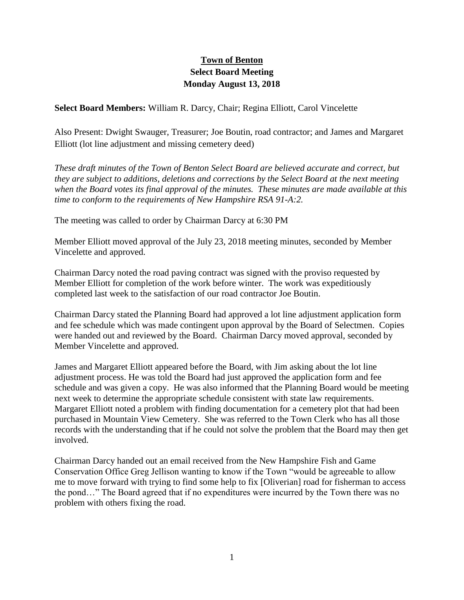## **Town of Benton Select Board Meeting Monday August 13, 2018**

**Select Board Members:** William R. Darcy, Chair; Regina Elliott, Carol Vincelette

Also Present: Dwight Swauger, Treasurer; Joe Boutin, road contractor; and James and Margaret Elliott (lot line adjustment and missing cemetery deed)

*These draft minutes of the Town of Benton Select Board are believed accurate and correct, but they are subject to additions, deletions and corrections by the Select Board at the next meeting when the Board votes its final approval of the minutes. These minutes are made available at this time to conform to the requirements of New Hampshire RSA 91-A:2.*

The meeting was called to order by Chairman Darcy at 6:30 PM

Member Elliott moved approval of the July 23, 2018 meeting minutes, seconded by Member Vincelette and approved.

Chairman Darcy noted the road paving contract was signed with the proviso requested by Member Elliott for completion of the work before winter. The work was expeditiously completed last week to the satisfaction of our road contractor Joe Boutin.

Chairman Darcy stated the Planning Board had approved a lot line adjustment application form and fee schedule which was made contingent upon approval by the Board of Selectmen. Copies were handed out and reviewed by the Board. Chairman Darcy moved approval, seconded by Member Vincelette and approved.

James and Margaret Elliott appeared before the Board, with Jim asking about the lot line adjustment process. He was told the Board had just approved the application form and fee schedule and was given a copy. He was also informed that the Planning Board would be meeting next week to determine the appropriate schedule consistent with state law requirements. Margaret Elliott noted a problem with finding documentation for a cemetery plot that had been purchased in Mountain View Cemetery. She was referred to the Town Clerk who has all those records with the understanding that if he could not solve the problem that the Board may then get involved.

Chairman Darcy handed out an email received from the New Hampshire Fish and Game Conservation Office Greg Jellison wanting to know if the Town "would be agreeable to allow me to move forward with trying to find some help to fix [Oliverian] road for fisherman to access the pond…" The Board agreed that if no expenditures were incurred by the Town there was no problem with others fixing the road.